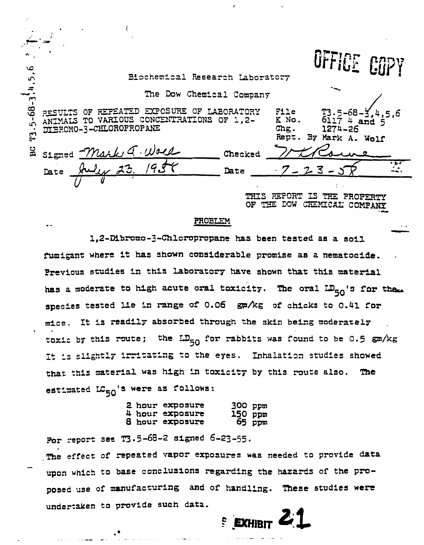OFFICE COPY

and

6117 4

1274-26

## Biochemical Research Laboratory

The Dow Chemical Company

RESULTS OF REPEATED EXPOSURE OF LABORATORY ANIMALS TO VARIOUS CONCENTRATIONS OF 1,2-DIBROMO-3-CHLOROPROPANE

 $T3.5 - 68 - 3, 4, 5, 6$ 

 $E$ 

| Signed Mark a. Woll   | Checked | Rept. By Mark A. Wolf<br>Totalous |  |
|-----------------------|---------|-----------------------------------|--|
| July 23, 1958<br>Date | Date    | $7 - 23 - 57$                     |  |
|                       |         |                                   |  |

REPORT IS THE PROPERTY OF THE DOW CHEMICAL COMPANY

File

Chg.

K No.

## PROBLEM

1.2-Dibromo-3-Chloropropane has been tested as a soil fumigant where it has shown considerable promise as a nematocide. Previous studies in this laboratory have shown that this material has a moderate to high acute oral toxicity. The oral LD<sub>50</sub>'s for them species tested lie in range of 0.06 gm/kg of chicks to 0.41 for mice. It is readily absorbed through the skin being moderately toxic by this route; the  $LD_{50}$  for rabbits was found to be 0.5 gm/kg It is slightly irritating to the eyes. Inhalation studies showed that this material was high in toxicity by this route also. The estimated LC<sub>50</sub>'s were as follows:

|  | 2 hour exposure | 300 ppm |                   |
|--|-----------------|---------|-------------------|
|  | 4 hour exposure | 150 ppm |                   |
|  | 8 hour exposure |         | <del>mqq</del> e5 |

For report see T3.5-68-2 signed 6-23-55.

The effect of repeated vapor exposures was needed to provide data upon which to base conclusions regarding the hazards of the proposed use of manufacturing and of handling. These studies were undertaken to provide such data.

**EXHIBIT**